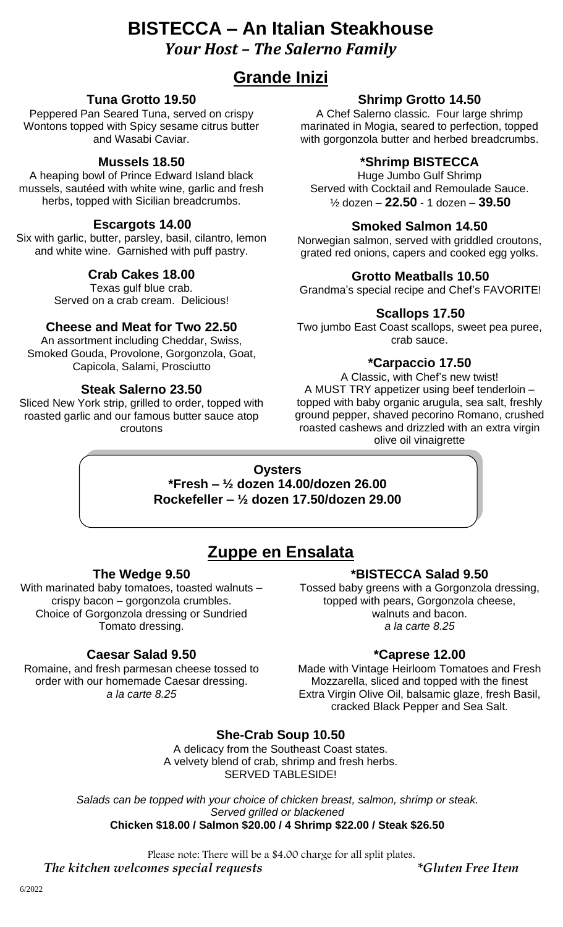## **BISTECCA – An Italian Steakhouse** *Your Host – The Salerno Family*

## **Grande Inizi**

## **Tuna Grotto 19.50**

Peppered Pan Seared Tuna, served on crispy Wontons topped with Spicy sesame citrus butter and Wasabi Caviar.

### **Mussels 18.50**

A heaping bowl of Prince Edward Island black mussels, sautéed with white wine, garlic and fresh herbs, topped with Sicilian breadcrumbs.

#### **Escargots 14.00**

Six with garlic, butter, parsley, basil, cilantro, lemon and white wine. Garnished with puff pastry.

### **Crab Cakes 18.00**

Texas gulf blue crab. Served on a crab cream. Delicious!

#### **Cheese and Meat for Two 22.50**

An assortment including Cheddar, Swiss, Smoked Gouda, Provolone, Gorgonzola, Goat, Capicola, Salami, Prosciutto

#### **Steak Salerno 23.50**

Sliced New York strip, grilled to order, topped with roasted garlic and our famous butter sauce atop croutons

### **Shrimp Grotto 14.50**

A Chef Salerno classic. Four large shrimp marinated in Mogia, seared to perfection, topped with gorgonzola butter and herbed breadcrumbs.

### **\*Shrimp BISTECCA**

Huge Jumbo Gulf Shrimp Served with Cocktail and Remoulade Sauce. ½ dozen – **22.50** - 1 dozen – **39.50**

### **Smoked Salmon 14.50**

Norwegian salmon, served with griddled croutons, grated red onions, capers and cooked egg yolks.

#### **Grotto Meatballs 10.50**

Grandma's special recipe and Chef's FAVORITE!

#### **Scallops 17.50**

Two jumbo East Coast scallops, sweet pea puree, crab sauce.

#### **\*Carpaccio 17.50**

A Classic, with Chef's new twist! A MUST TRY appetizer using beef tenderloin – topped with baby organic arugula, sea salt, freshly ground pepper, shaved pecorino Romano, crushed roasted cashews and drizzled with an extra virgin olive oil vinaigrette

#### **Oysters**

**\*Fresh – ½ dozen 14.00/dozen 26.00 Rockefeller – ½ dozen 17.50/dozen 29.00**

## **Zuppe en Ensalata**

#### **The Wedge 9.50**

With marinated baby tomatoes, toasted walnuts – crispy bacon – gorgonzola crumbles. Choice of Gorgonzola dressing or Sundried Tomato dressing.

#### **Caesar Salad 9.50**

Romaine, and fresh parmesan cheese tossed to order with our homemade Caesar dressing. *a la carte 8.25*

#### **\*BISTECCA Salad 9.50**

Tossed baby greens with a Gorgonzola dressing, topped with pears, Gorgonzola cheese, walnuts and bacon. *a la carte 8.25*

#### **\*Caprese 12.00**

Made with Vintage Heirloom Tomatoes and Fresh Mozzarella, sliced and topped with the finest Extra Virgin Olive Oil, balsamic glaze, fresh Basil, cracked Black Pepper and Sea Salt.

**She-Crab Soup 10.50**

A delicacy from the Southeast Coast states. A velvety blend of crab, shrimp and fresh herbs. SERVED TABLESIDE!

*Salads can be topped with your choice of chicken breast, salmon, shrimp or steak. Served grilled or blackened* **Chicken \$18.00 / Salmon \$20.00 / 4 Shrimp \$22.00 / Steak \$26.50**

Please note: There will be a \$4.00 charge for all split plates.

*The kitchen welcomes special requests \*Gluten Free Item*